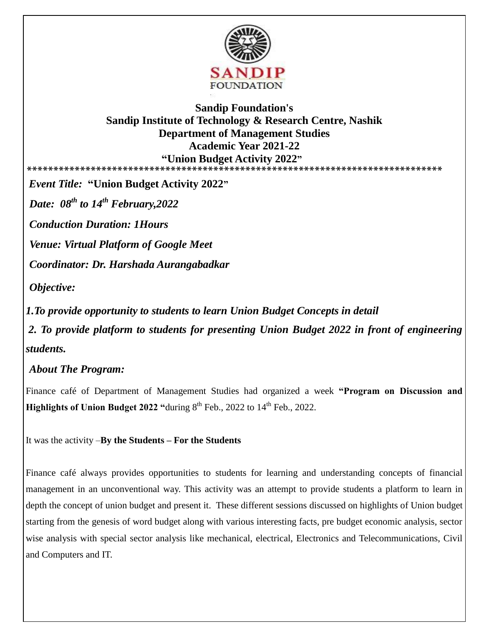

## **Sandip Foundation's Sandip Institute of Technology & Research Centre, Nashik Department of Management Studies Academic Year 2021-22 "Union Budget Activity 2022" \*\*\*\*\*\*\*\*\*\*\*\*\*\*\*\*\*\*\*\*\*\*\*\*\*\*\*\*\*\*\*\*\*\*\*\*\*\*\*\*\*\*\*\*\*\*\*\*\*\*\*\*\*\*\*\*\*\*\*\*\*\*\*\*\*\*\*\*\*\*\*\*\*\*\*\*\*\***

*Event Title:* **"Union Budget Activity 2022"**

*Date: 08th to 14th February,2022*

*Conduction Duration: 1Hours* 

*Venue: Virtual Platform of Google Meet* 

*Coordinator: Dr. Harshada Aurangabadkar*

*Objective:*

*1.To provide opportunity to students to learn Union Budget Concepts in detail* 

*2. To provide platform to students for presenting Union Budget 2022 in front of engineering students.*

*About The Program:* 

Finance café of Department of Management Studies had organized a week **"Program on Discussion and Highlights of Union Budget 2022 "during**  $8<sup>th</sup>$  **Feb., 2022 to**  $14<sup>th</sup>$  **Feb., 2022.** 

It was the activity –**By the Students – For the Students** 

Finance café always provides opportunities to students for learning and understanding concepts of financial management in an unconventional way. This activity was an attempt to provide students a platform to learn in depth the concept of union budget and present it. These different sessions discussed on highlights of Union budget starting from the genesis of word budget along with various interesting facts, pre budget economic analysis, sector wise analysis with special sector analysis like mechanical, electrical, Electronics and Telecommunications, Civil and Computers and IT.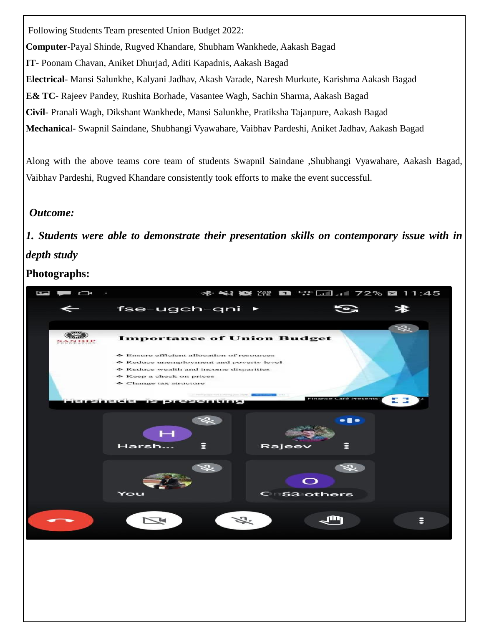Following Students Team presented Union Budget 2022: **Computer**-Payal Shinde, Rugved Khandare, Shubham Wankhede, Aakash Bagad **IT**- Poonam Chavan, Aniket Dhurjad, Aditi Kapadnis, Aakash Bagad **Electrical**- Mansi Salunkhe, Kalyani Jadhav, Akash Varade, Naresh Murkute, Karishma Aakash Bagad **E& TC**- Rajeev Pandey, Rushita Borhade, Vasantee Wagh, Sachin Sharma, Aakash Bagad **Civil**- Pranali Wagh, Dikshant Wankhede, Mansi Salunkhe, Pratiksha Tajanpure, Aakash Bagad **Mechanica**l- Swapnil Saindane, Shubhangi Vyawahare, Vaibhav Pardeshi, Aniket Jadhav, Aakash Bagad

Along with the above teams core team of students Swapnil Saindane ,Shubhangi Vyawahare, Aakash Bagad, Vaibhav Pardeshi, Rugved Khandare consistently took efforts to make the event successful.

## *Outcome:*

*1. Students were able to demonstrate their presentation skills on contemporary issue with in depth study*

**Photographs:** 

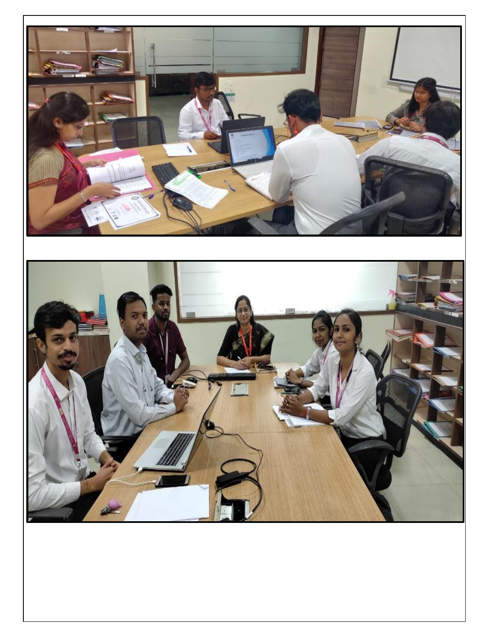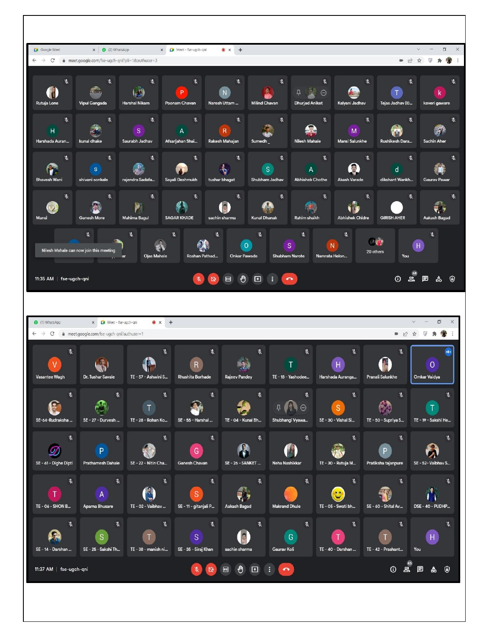